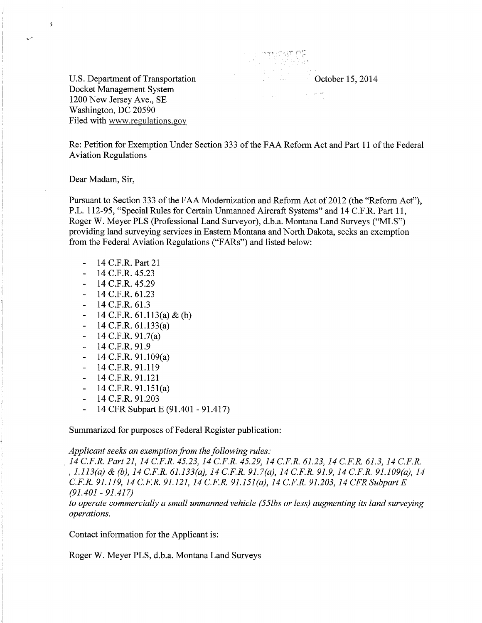U.S. Department of Transportation Docket Management System 1200 New Jersey Ave., SE Washington, DC 20590 Filed with www.regulations.gov

October 15, 2014

Re: Petition for Exemption Under Section 333 of the FAA Reform Act and Part 11 of the Federal Aviation Regulations

Dear Madam, Sir,

 $\tilde{\mathbf{t}}$ 

بدريا

Pursuant to Section 333 of the FAA Modernization and Reform Act of 2012 (the "Reform Act"), P.L. 112-95, "Special Rules for Certain Unmanned Aircraft Systems" and 14 C.F.R. Part 11, Roger W. Meyer PLS (Professional Land Surveyor), d.b.a. Montana Land Surveys ("MLS") providing land surveying services in Eastern Montana and North Dakota, seeks an exemption from the Federal Aviation Regulations ("FARs") and listed below:

- 14 C.F.R. Part 21
- 14 C.F.R. 45.23
- 14 C.F.R. 45.29  $\blacksquare$
- $-14$  C.F.R. 61.23
- $-14$  C.F.R. 61.3
- 14 C.F.R.  $61.113(a) \& (b)$
- 14 C.F.R. 61.133(a)  $\blacksquare$
- 14 C.F.R. 91.7(a)  $\blacksquare$
- 14 C.F.R. 91.9  $\omega_{\rm c}$
- 14 C.F.R. 91.109(a)
- $\mathbf{L}^{\mathcal{A}}$ 14 C.F.R. 91.119
- 14 C.F.R. 91.121
- $-14$  C.F.R.  $91.151(a)$
- 14 C.F.R. 91.203
- 14 CFR Subpart E (91.401 91.417)  $\Box$

Summarized for purposes of Federal Register publication:

*Applicant seeks an exemption from the following rules:* 

. *14 C.F.R. Part 21, 14 C.F.R. 45.23, 14 C.F.R. 45.29, 14 C.F.R. 61.23, 14 C.F.R. 61.3, 14 C.F.R.*  , *1.113(a)* & *(b), 14 C.F.R. 61.133(a), 14 C.F.R. 91. 7(a), 14 C.F.R. 91.9, 14 C.F.R. 91.109(a), 14 C.F.R. 91.119, 14 C.F.R. 91.121, 14 C.F.R. 91.151 (a), 14 C.F.R. 91.203, 14 CFR Subpart E (91.401- 91.417)* 

*to operate commercially a small unmanned vehicle (55lbs or less) augmenting its land surveying operations.* 

Contact information for the Applicant is:

Roger W. Meyer PLS, d.b.a. Montana Land Surveys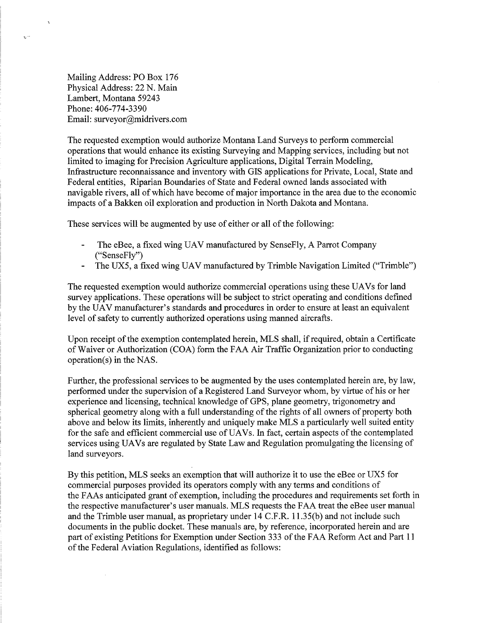Mailing Address: PO Box 176 Physical Address: 22 N. Main Lambert, Montana 59243 Phone:406-774-3390 Email: surveyor@midrivers.com

 $\bar{z}$ 

 $\Delta$ 

 $\mathbb{Z}^2$ 

The requested exemption would authorize Montana Land Surveys to perform commercial operations that would enhance its existing Surveying and Mapping services, including but not limited to imaging for Precision Agriculture applications, Digital Terrain Modeling, Infrastructure reconnaissance and inventory with GIS applications for Private, Local, State and Federal entities, Riparian Boundaries of State and Federal owned lands associated with navigable rivers, all of which have become of major importance in the area due to the economic impacts of a Bakken oil exploration and production in North Dakota and Montana.

These services will be augmented by use of either or all of the following:

- The eBee, a fixed wing UAV manufactured by SenseFly, A Parrot Company ("SenseFly")
- The UX5, a fixed wing UAV manufactured by Trimble Navigation Limited ("Trimble")

The requested exemption would authorize commercial operations using these UAVs for land survey applications. These operations will be subject to strict operating and conditions defined by the UAV manufacturer's standards and procedures in order to ensure at least an equivalent level of safety to currently authorized operations using manned aircrafts.

Upon receipt of the exemption contemplated herein, MLS shall, if required, obtain a Certificate of Waiver or Authorization (COA) form the FAA Air Traffic Organization prior to conducting operation(s) in the NAS.

Further, the professional services to be augmented by the uses contemplated herein are, by law, performed under the supervision of a Registered Land Surveyor whom, by virtue of his or her experience and licensing, technical knowledge of GPS, plane geometry, trigonometry and spherical geometry along with a full understanding of the rights of all owners of property both above and below its limits, inherently and uniquely make MLS a particularly well suited entity for the safe and efficient commercial use of UAVs. In fact, certain aspects of the contemplated services using UAVs are regulated by State Law and Regulation promulgating the licensing of land surveyors.

By this petition, MLS seeks an exemption that will authorize it to use the eBee or UX5 for commercial purposes provided its operators comply with any terms and conditions of the FAAs anticipated grant of exemption, including the procedures and requirements set forth in the respective manufacturer's user manuals. MLS requests the FAA treat the eBee user manual and the Trimble user manual, as proprietary under 14 C.F.R. 11.35(b) and not include such documents in the public docket. These manuals are, by reference, incorporated herein and are part of existing Petitions for Exemption under Section 333 of the FAA Reform Act and Part 11 of the Federal Aviation Regulations, identified as follows: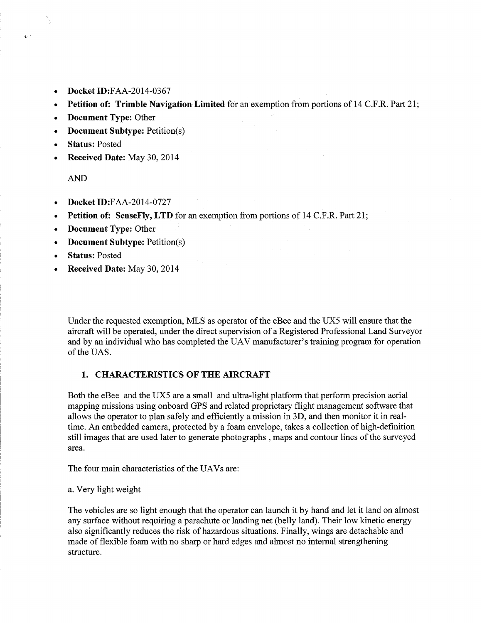- **Docket** ID:FAA-2014-0367
- **Petition of: Trimble Navigation Limited** for an exemption from portions of 14 C.P.R. Part 21;
- **Document Type:** Other
- **Document Subtype:** Petition(s)
- **Status:** Posted
- **Received Date:** May 30, 2014

AND

 $\mathbf{A}$ 

- **Docket** ID:FAA-2014-0727
- **Petition of: SenseFly, LTD** for an exemption from portions of 14 C.F .R. Part 21;
- **Document Type:** Other
- **Document Subtype:** Petition(s)
- **Status:** Posted
- **Received Date:** May 30, 2014

Under the requested exemption, MLS as operator of the eBee and the UX5 will ensure that the aircraft will be operated, under the direct supervision of a Registered Professional Land Surveyor and by an individual who has completed the UAV manufacturer's training program for operation of the UAS.

### **1. CHARACTERISTICS OF THE AIRCRAFT**

Both the eBee and the UX5 are a small and ultra-light platform that perform precision aerial mapping missions using onboard GPS and related proprietary flight management software that allows the operator to plan safely and efficiently a mission in 3D, and then monitor it in realtime. An embedded camera, protected by a foam envelope, takes a collection of high-definition still images that are used later to generate photographs, maps and contour lines of the surveyed area.

The four main characteristics of the UAVs are:

a. Very light weight

The vehicles are so light enough that the operator can launch it by hand and let it land on almost any surface without requiring a parachute or landing net (belly land). Their low kinetic energy also significantly reduces the risk of hazardous situations. Finally, wings are detachable and made of flexible foam with no sharp or hard edges and almost no internal strengthening structure.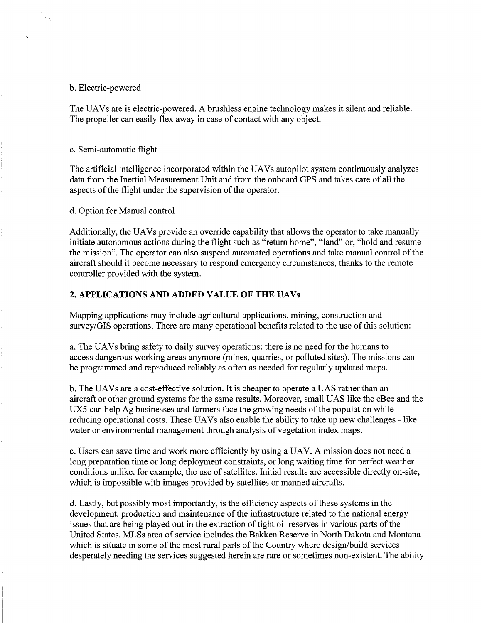#### b. Electric-powered

The UAVs are is electric-powered. A brushless engine technology makes it silent and reliable. The propeller can easily flex away in case of contact with any object.

#### c. Semi-automatic flight

The artificial intelligence incorporated within the UAVs autopilot system continuously analyzes data from the Inertial Measurement Unit and from the onboard GPS and takes care of all the aspects of the flight under the supervision of the operator.

d. Option for Manual control

Additionally, the UAVs provide an override capability that allows the operator to take manually initiate autonomous actions during the flight such as "return home", "land" or, "hold and resume the mission". The operator can also suspend automated operations and take manual control of the aircraft should it become necessary to respond emergency circumstances, thanks to the remote controller provided with the system.

# 2. APPLICATIONS AND ADDED VALUE OF THE UAVs

Mapping applications may include agricultural applications, mining, construction and survey/GIS operations. There are many operational benefits related to the use of this solution:

a. The UAVs bring safety to daily survey operations: there is no need for the humans to access dangerous working areas anymore (mines, quarries, or polluted sites). The missions can be programmed and reproduced reliably as often as needed for regularly updated maps.

b. The UAVs are a cost-effective solution. It is cheaper to operate a UAS rather than an aircraft or other ground systems for the same results. Moreover, small UAS like the eBee and the UX5 can help Ag businesses and farmers face the growing needs of the population while reducing operational costs. These UAVs also enable the ability to take up new challenges - like water or environmental management through analysis of vegetation index maps.

c. Users can save time and work more efficiently by using a UAV. A mission does not need a long preparation time or long deployment constraints, or long waiting time for perfect weather conditions unlike, for example, the use of satellites. Initial results are accessible directly on-site, which is impossible with images provided by satellites or manned aircrafts.

d. Lastly, but possibly most importantly, is the efficiency aspects of these systems in the development, production and maintenance of the infrastructure related to the national energy issues that are being played out in the extraction of tight oil reserves in various parts of the United States. MLSs area of service includes the Bakken Reserve in North Dakota and Montana which is situate in some of the most rural parts of the Country where design/build services desperately needing the services suggested herein are rare or sometimes non-existent. The ability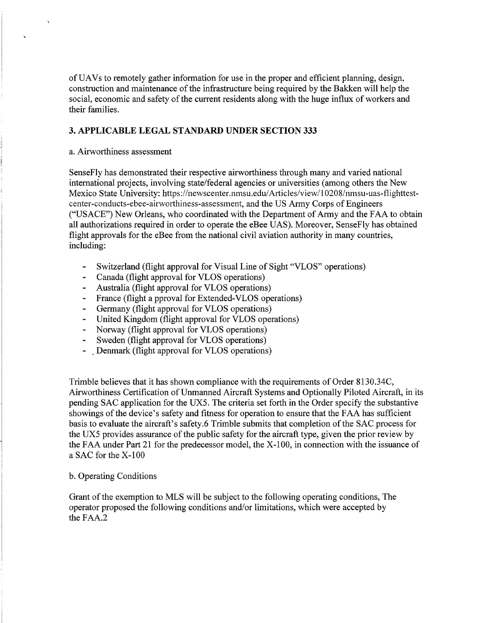ofUAVs to remotely gather information for use in the proper and efficient planning, design, construction and maintenance of the infrastructure being required by the Bakken will help the social, economic and safety of the current residents along with the huge influx of workers and their families.

# **3. APPLICABLE LEGAL STANDARD UNDER SECTION 333**

# a. Airworthiness assessment

 $\Delta$ 

SenseFly has demonstrated their respective airworthiness through many and varied national international projects, involving state/federal agencies or universities (among others the New Mexico State University: https://newscenter.nmsu.edu/Articles/view/10208/nmsu-uas-flighttestcenter-conducts-ebee-airworthiness-assessment, and the US Army Corps of Engineers ("USACE") New Orleans, who coordinated with the Department of Army and the FAA to obtain all authorizations required in order to operate the eBee UAS). Moreover, SenseFly has obtained flight approvals for the eBee from the national civil aviation authority in many countries, including:

- Switzerland (flight approval for Visual Line of Sight "VLOS" operations)
- Canada (flight approval for VLOS operations)
- Australia (flight approval for VLOS operations)  $\blacksquare$
- France (flight a pproval for Extended-VLOS operations)
- Germany (flight approval for VLOS operations)
- United Kingdom (flight approval for VLOS operations)
- Norway (flight approval for VLOS operations)  $\blacksquare$
- Sweden (flight approval for VLOS operations)
- . Denmark (flight approval for VLOS operations)

Trimble believes that it has shown compliance with the requirements of Order 8130.34C, Airworthiness Certification of Unmanned Aircraft Systems and Optionally Piloted Aircraft, in its pending SAC application for the UX5. The criteria set forth in the Order specify the substantive showings of the device's safety and fitness for operation to ensure that the FAA has sufficient basis to evaluate the aircraft's safety.6 Trimble submits that completion of the SAC process for the UX5 provides assurance of the public safety for the aircraft type, given the prior review by the FAA under Part 21 for the predecessor model, the X-100, in connection with the issuance of a SAC for the X-100

# b. Operating Conditions

Grant of the exemption to MLS will be subject to the following operating conditions, The operator proposed the following conditions and/or limitations, which were accepted by the FAA.2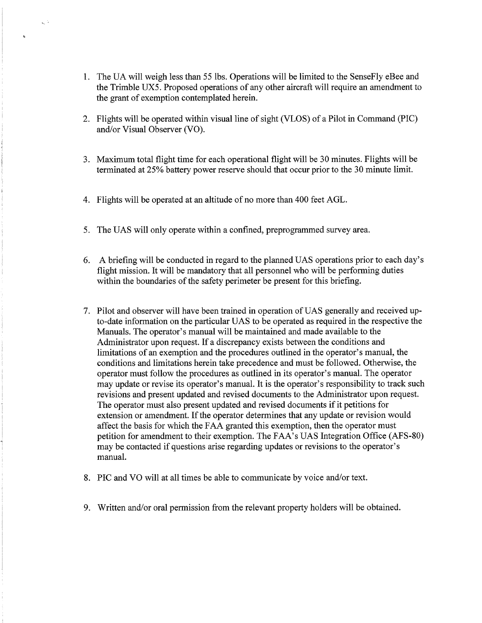- 1. The UA will weigh less than 55 lbs. Operations will be limited to the SenseFly eBee and the Trimble UX5. Proposed operations of any other aircraft will require an amendment to the grant of exemption contemplated herein.
- 2. Flights will be operated within visual line of sight (VLOS) of a Pilot in Command (PIC) and/or Visual Observer (VO).
- 3. Maximum total flight time for each operational flight will be 30 minutes. Flights will be terminated at 25% battery power reserve should that occur prior to the 30 minute limit.
- 4. Flights will be operated at an altitude of no more than 400 feet AGL.

k, S

- 5. The UAS will only operate within a confined, preprogrammed survey area.
- 6. A briefing will be conducted in regard to the planned UAS operations prior to each day's flight mission. It will be mandatory that all personnel who will be performing duties within the boundaries of the safety perimeter be present for this briefing.
- 7. Pilot and observer will have been trained in operation of UAS generally and received upto-date information on the particular UAS to be operated as required in the respective the Manuals. The operator's manual will be maintained and made available to the Administrator upon request. If a discrepancy exists between the conditions and limitations of an exemption and the procedures outlined in the operator's manual, the conditions and limitations herein take precedence and must be followed. Otherwise, the operator must follow the procedures as outlined in its operator's manual. The operator may update or revise its operator's manual. It is the operator's responsibility to track such revisions and present updated and revised documents to the Administrator upon request. The operator must also present updated and revised documents if it petitions for extension or amendment. If the operator determines that any update or revision would affect the basis for which the FAA granted this exemption, then the operator must petition for amendment to their exemption. The FAA's UAS Integration Office (AFS-80) may be contacted if questions arise regarding updates or revisions to the operator's manual.
- 8. PIC and VO will at all times be able to communicate by voice and/or text.
- 9. Written and/or oral permission from the relevant property holders will be obtained.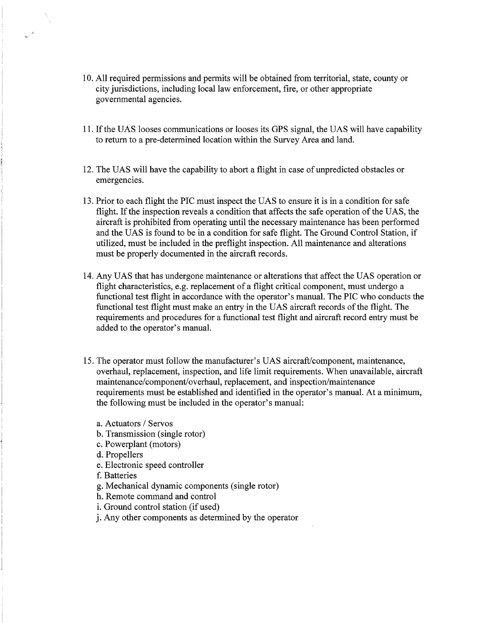- 10. All required permissions and permits will be obtained from territorial, state, county or city jurisdictions, including local law enforcement, fire, or other appropriate governmental agencies.
- 11. If the UAS looses communications or looses its GPS signal, the UAS will have capability to return to a pre-determined location within the Survey Area and land.
- 12. The UAS will have the capability to abort a flight in case ofunpredicted obstacles or emergencies.
- 13. Prior to each flight the PIC must inspect the UAS to ensure it is in a condition for safe flight. If the inspection reveals a condition that affects the safe operation of the UAS, the aircraft is prohibited from operating until the necessary maintenance has been performed and the UAS is found to be in a condition for safe flight. The Ground Control Station, if utilized, must be included in the preflight inspection. All maintenance and alterations must be properly documented in the aircraft records.
- 14. Any UAS that has undergone maintenance or alterations that affect the UAS operation or flight characteristics, e.g. replacement of a flight critical component, must undergo a functional test flight in accordance with the operator's manual. The PIC who conducts the functional test flight must make an entry in the UAS aircraft records of the flight. The requirements and procedures for a functional test flight and aircraft record entry must be added to the operator's manual.
- 15. The operator must follow the manufacturer's UAS aircraft/component, maintenance, overhaul, replacement, inspection, and life limit requirements. When unavailable, aircraft maintenance/component/overhaul, replacement, and inspection/maintenance requirements must be established and identified in the operator's manual. At a minimum, the following must be included in the operator's manual:
	- a. Actuators / Servos
	- b. Transmission (single rotor)
	- c. Powerplant (motors)
	- d. Propellers
	- e. Electronic speed controller
	- f. Batteries
	- g. Mechanical dynamic components (single rotor)
	- h. Remote command and control
	- i. Ground control station (if used)
	- j. Any other components as determined by the operator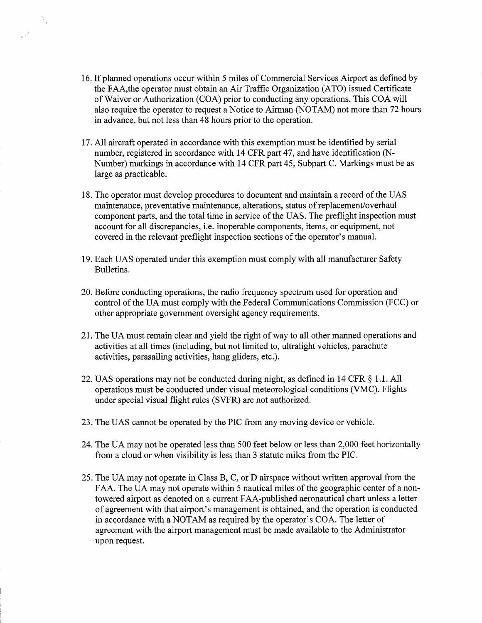16. If planned operations occur within 5 miles of Commercial Services Airport as defined by the FAA, the operator must obtain an Air Traffic Organization (ATO) issued Certificate of Waiver or Authorization (COA) prior to conducting any operations. This COA will also require the operator to request a Notice to Airman (NOT AM) not more than 72 hours in advance, but not less than 48 hours prior to the operation.

 $\mathbb{R}^n$ 

- 17. All aircraft operated in accordance with this exemption must be identified by serial number, registered in accordance with 14 CFR part 47, and have identification (N-Number) markings in accordance with 14 CFR part 45, Subpart C. Markings must be as large as practicable.
- 18. The operator must develop procedures to document and maintain a record of the UAS maintenance, preventative maintenance, alterations, status of replacement/overhaul component parts, and the total time in service of the UAS. The preflight inspection must account for all discrepancies, i.e. inoperable components, items, or equipment, not covered in the relevant preflight inspection sections of the operator's manual.
- 19. Each UAS operated under this exemption must comply with all manufacturer Safety Bulletins.
- 20. Before conducting operations, the radio frequency spectrum used for operation and control of the UA must comply with the Federal Communications Commission (FCC) or other appropriate government oversight agency requirements.
- 21. The UA must remain clear and yield the right of way to all other manned operations and activities at all times (including, but not limited to, ultralight vehicles, parachute activities, parasailing activities, hang gliders, etc.).
- 22. UAS operations may not be conducted during night, as defined in 14 CFR § 1.1. All operations must be conducted under visual meteorological conditions (VMC). Flights under special visual flight rules (SVFR) are not authorized.
- 23. The UAS cannot be operated by the PIC from any moving device or vehicle.
- 24. The UA may not be operated less than 500 feet below or less than 2,000 feet horizontally from a cloud or when visibility is less than 3 statute miles from the PIC.
- 25. The UA may not operate in Class B, C, or D airspace without written approval from the FAA. The UA may not operate within 5 nautical miles of the geographic center of a nontowered airport as denoted on a current FAA-published aeronautical chart unless a letter of agreement with that airport's management is obtained, and the operation is conducted in accordance with a NOTAM as required by the operator's COA. The letter of agreement with the airport management must be made available to the Administrator upon request.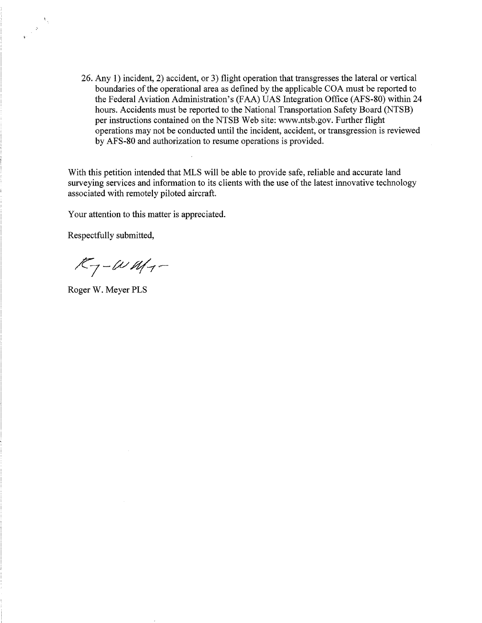26. Any 1) incident, 2) accident, or 3) flight operation that transgresses the lateral or vertical boundaries of the operational area as defined by the applicable COA must be reported to the Federal Aviation Administration's (FAA) UAS Integration Office (AFS-80) within 24 hours. Accidents must be reported to the National Transportation Safety Board (NTSB) per instructions contained on the NTSB Web site: www.ntsb.gov. Further flight operations may not be conducted until the incident, accident, or transgression is reviewed by AFS-80 and authorization to resume operations is provided.

With this petition intended that MLS will be able to provide safe, reliable and accurate land surveying services and information to its clients with the use of the latest innovative technology associated with remotely piloted aircraft.

Your attention to this matter is appreciated.

Respectfully submitted,

 $\frac{1}{2} \frac{N}{\sigma^2}$ 

 $K_{7} - \omega_{M_{7}} -$ 

Roger W. Meyer PLS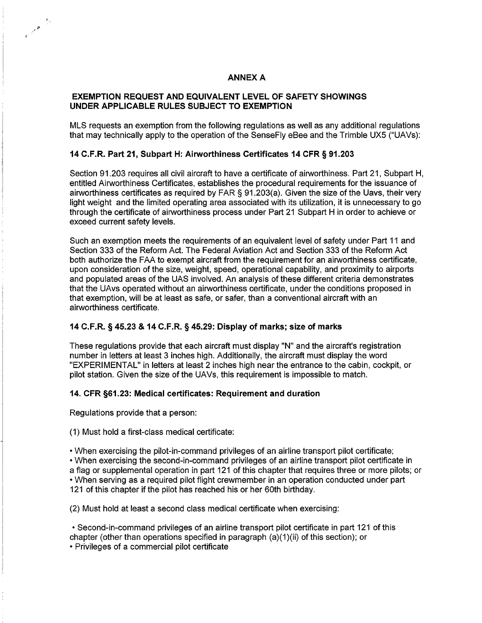### **ANNEX A**

### EXEMPTION REQUEST AND EQUIVALENT LEVEL OF SAFETY SHOWINGS UNDER APPLICABLE RULES SUBJECT TO EXEMPTION

MLS requests an exemption from the following regulations as well as any additional regulations that may technically apply to the operation of the SenseFiy eBee and the Trimble UX5 ("UAVs):

### 14 C.F.R. Part 21, Subpart H: Airworthiness Certificates 14 CFR § 91.203

Section 91.203 requires all civil aircraft to have a certificate of airworthiness. Part 21, Subpart H, entitled Airworthiness Certificates, establishes the procedural requirements for the issuance of airworthiness certificates as required by FAR§ 91.203(a). Given the size of the Uavs, their very light weight and the limited operating area associated with its utilization, it is unnecessary to go through the certificate of airworthiness process under Part 21 Subpart H in order to achieve or exceed current safety levels.

Such an exemption meets the requirements of an equivalent level of safety under Part 11 and Section 333 of the Reform Act. The Federal Aviation Act and Section 333 of the Reform Act both authorize the FAA to exempt aircraft from the requirement for an airworthiness certificate, upon consideration of the size, weight, speed, operational capability, and proximity to airports and populated areas of the UAS involved. An analysis of these different criteria demonstrates that the UAvs operated without an airworthiness certificate, under the conditions proposed in that exemption, will be at least as safe, or safer, than a conventional aircraft with an airworthiness certificate.

### 14 C.F.R. § 45.23 & 14 C.F.R. § 45.29: Display of marks; size of marks

These regulations provide that each aircraft must display "N" and the aircraft's registration number in letters at least 3 inches high. Additionally, the aircraft must display the word "EXPERIMENTAL" in letters at least 2 inches high near the entrance to the cabin, cockpit, or pilot station. Given the size of the UAVs, this requirement is impossible to match.

# 14. CFR §61.23: Medical certificates: Requirement and duration

Regulations provide that a person:

 $\mathbf{1}_{\mathbf{q}}$ 

**Barriot** 

(1) Must hold a first-class medical certificate:

• When exercising the pilot-in-command privileges of an airline transport pilot certificate;

• When exercising the second-in-command privileges of an airline transport pilot certificate in a flag or supplemental operation in part 121 of this chapter that requires three or more pilots; or • When serving as a required pilot flight crewmember in an operation conducted under part 121 of this chapter if the pilot has reached his or her 60th birthday.

(2) Must hold at least a second class medical certificate when exercising:

• Second-in-command privileges of an airline transport pilot certificate in part 121 of this chapter (other than operations specified in paragraph (a)(1)(ii) of this section); or

• Privileges of a commercial pilot certificate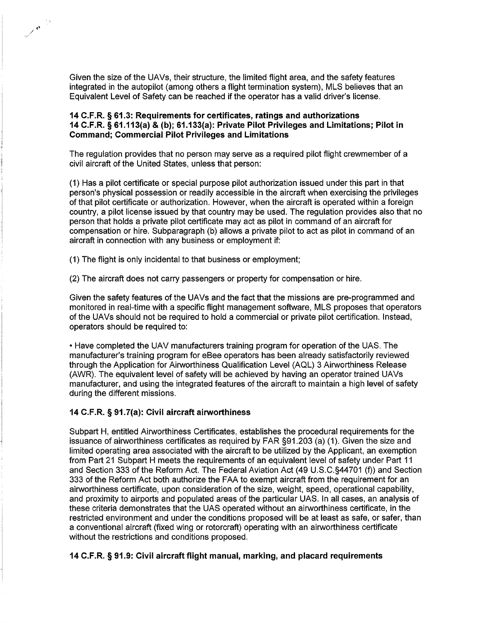Given the size of the UAVs, their structure, the limited flight area, and the safety features integrated in the autopilot (among others a flight termination system), MLS believes that an Equivalent Level of Safety can be reached if the operator has a valid driver's license.

### 14 C.F.R. § 61.3: Requirements for certificates, ratings and authorizations 14 C.F.R. § 61.113(a} & (b); 61.133(a}: Private Pilot Privileges and Limitations; Pilot in Command; Commercial Pilot Privileges and Limitations

The regulation provides that no person may serve as a required pilot flight crewmember of a civil aircraft of the United States, unless that person:

(1) Has a pilot certificate or special purpose pilot authorization issued under this part in that person's physical possession or readily accessible in the aircraft when exercising the privileges of that pilot certificate or authorization. However, when the aircraft is operated within a foreign country, a pilot license issued by that country may be used. The regulation provides also that no person that holds a private pilot certificate may act as pilot in command of an aircraft for compensation or hire. Subparagraph (b) allows a private pilot to act as pilot in command of an aircraft in connection with any business or employment if:

(1) The flight is only incidental to that business or employment;

 $\frac{1}{\sqrt{2\pi}}\int_{0}^{\frac{1}{2}}\frac{dx}{y}dy$ 

(2) The aircraft does not carry passengers or property for compensation or hire.

Given the safety features of the UAVs and the fact that the missions are pre-programmed and monitored in real-time with a specific flight management software, MLS proposes that operators of the UAVs should not be required to hold a commercial or private pilot certification. Instead, operators should be required to:

• Have completed the UAV manufacturers training program for operation of the UAS. The manufacturer's training program for eBee operators has been already satisfactorily reviewed through the Application for Airworthiness Qualification Level (AQL) 3 Airworthiness Release (AWR). The equivalent level of safety will be achieved by having an operator trained UAVs manufacturer, and using the integrated features of the aircraft to maintain a high level of safety during the different missions.

# 14 C.F.R. § 91.7(a): Civil aircraft airworthiness

Subpart H, entitled Airworthiness Certificates, establishes the procedural requirements for the issuance of airworthiness certificates as required by FAR §91.203 (a) (1). Given the size and limited operating area associated with the aircraft to be utilized by the Applicant, an exemption from Part 21 Subpart H meets the requirements of an equivalent level of safety under Part 11 and Section 333 of the Reform Act. The Federal Aviation Act (49 U.S.C.§44701 (f)) and Section 333 of the Reform Act both authorize the FAA to exempt aircraft from the requirement for an airworthiness certificate, upon consideration of the size, weight, speed, operational capability, and proximity to airports and populated areas of the particular UAS. In all cases, an analysis of these criteria demonstrates that the UAS operated without an airworthiness certificate, in the restricted environment and under the conditions proposed will be at least as safe, or safer, than a conventional aircraft (fixed wing or rotorcraft) operating with an airworthiness certificate without the restrictions and conditions proposed.

# 14 C.F.R. § 91.9: Civil aircraft flight manual, marking, and placard requirements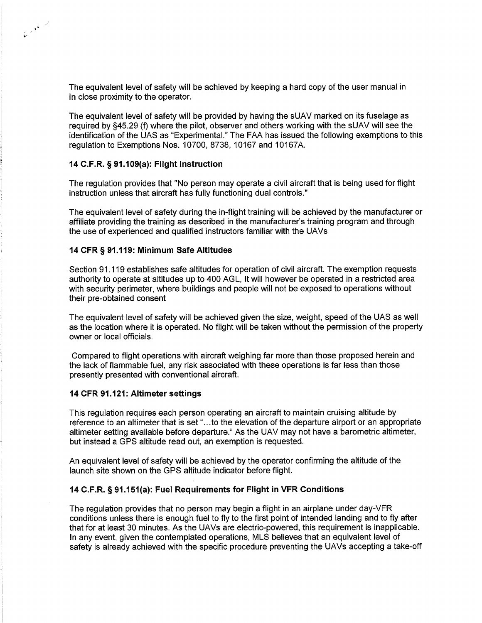The equivalent level of safety will be achieved by keeping a hard copy of the user manual in In close proximity to the operator.

The equivalent level of safety will be provided by having the sUAV marked on its fuselage as required by §45.29 (f) where the pilot, observer and others working with the sUAV will see the identification of the UAS as "Experimental." The FAA has issued the following exemptions to this regulation to Exemptions Nos. 10700, 8738, 10167 and 10167A.

### 14 C.F.R. § 91.109(a): Flight Instruction

..

The regulation provides that "No person may operate a civil aircraft that is being used for flight instruction unless that aircraft has fully functioning dual controls."

The equivalent level of safety during the in-flight training will be achieved by the manufacturer or affiliate providing the training as described in the manufacturer's training program and through the use of experienced and qualified instructors familiar with the UAVs

### 14 CFR § 91.119: Minimum Safe Altitudes

Section 91.119 establishes safe altitudes for operation of civil aircraft. The exemption requests authority to operate at altitudes up to 400 AGL, It will however be operated in a restricted area with security perimeter, where buildings and people will not be exposed to operations without their pre-obtained consent

The equivalent level of safety will be achieved given the size, weight, speed of the UAS as well as the location where it is operated. No flight will be taken without the permission of the property owner or local officials.

Compared to flight operations with aircraft weighing far more than those proposed herein and the lack of flammable fuel, any risk associated with these operations is far less than those presently presented with conventional aircraft.

### 14 CFR 91.121: Altimeter settings

This regulation requires each person operating an aircraft to maintain cruising altitude by reference to an altimeter that is set" ... to the elevation of the departure airport or an appropriate altimeter setting available before departure." As the UAV may not have a barometric altimeter, but instead a GPS altitude read out, an exemption is requested.

An equivalent level of safety will be achieved by the operator confirming the altitude of the launch site shown on the GPS altitude indicator before flight.

### 14 C.F.R. § 91.151(a): Fuel Requirements for Flight in VFR Conditions

The regulation provides that no person may begin a flight in an airplane under day-VFR conditions unless there is enough fuel to fly to the first point of intended landing and to fly after that for at least 30 minutes. As the UAVs are electric-powered, this requirement is inapplicable. In any event, given the contemplated operations, MLS believes that an equivalent level of safety is already achieved with the specific procedure preventing the UAVs accepting a take-off